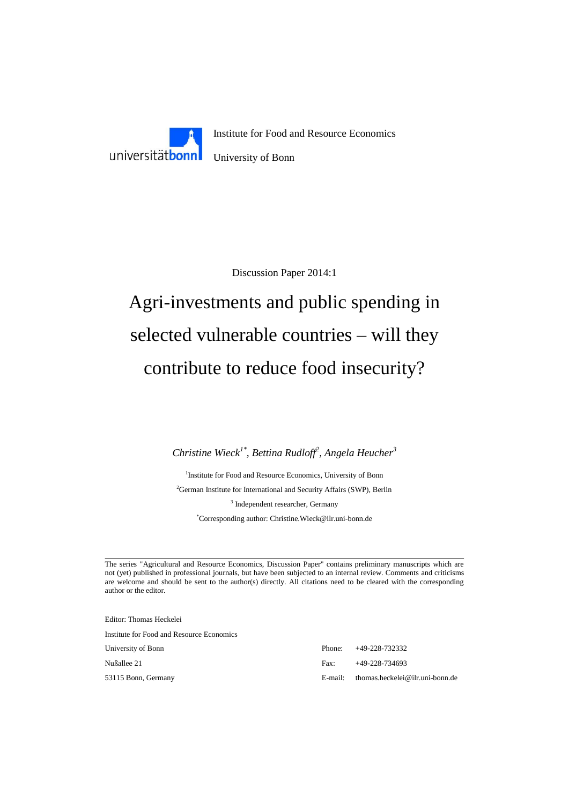

Discussion Paper 2014:1

# Agri-investments and public spending in selected vulnerable countries – will they contribute to reduce food insecurity?

*Christine Wieck1\* , Bettina Rudloff<sup>2</sup> , Angela Heucher<sup>3</sup>*

<sup>1</sup>Institute for Food and Resource Economics, University of Bonn <sup>2</sup>German Institute for International and Security Affairs (SWP), Berlin 3 Independent researcher, Germany

\*Corresponding author: Christine.Wieck@ilr.uni-bonn.de

The series "Agricultural and Resource Economics, Discussion Paper" contains preliminary manuscripts which are not (yet) published in professional journals, but have been subjected to an internal review. Comments and criticisms are welcome and should be sent to the author(s) directly. All citations need to be cleared with the corresponding author or the editor.

Editor: Thomas Heckelei

Institute for Food and Resource Economics

University of Bonn Phone: +49-228-732332 Nußallee 21 Fax: +49-228-734693 53115 Bonn, Germany E-mail: thomas.heckelei@ilr.uni-bonn.de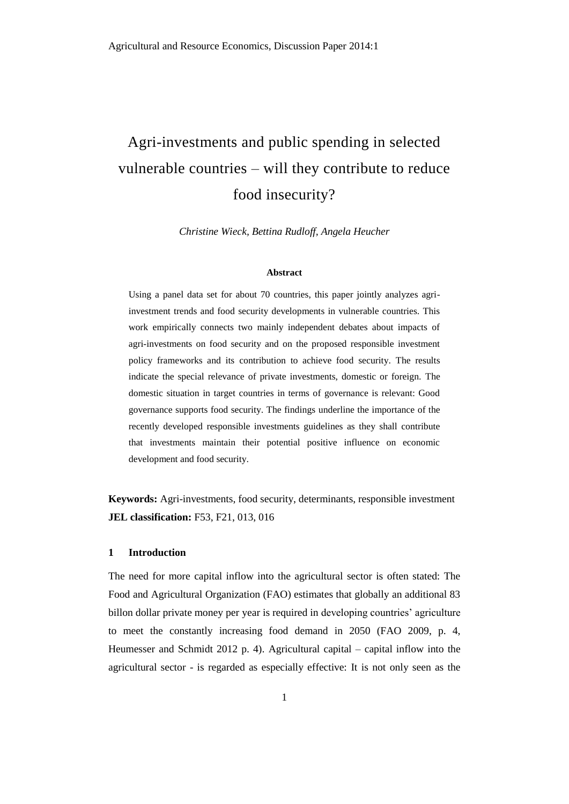## Agri-investments and public spending in selected vulnerable countries – will they contribute to reduce food insecurity?

*Christine Wieck, Bettina Rudloff, Angela Heucher*

#### **Abstract**

Using a panel data set for about 70 countries, this paper jointly analyzes agriinvestment trends and food security developments in vulnerable countries. This work empirically connects two mainly independent debates about impacts of agri-investments on food security and on the proposed responsible investment policy frameworks and its contribution to achieve food security. The results indicate the special relevance of private investments, domestic or foreign. The domestic situation in target countries in terms of governance is relevant: Good governance supports food security. The findings underline the importance of the recently developed responsible investments guidelines as they shall contribute that investments maintain their potential positive influence on economic development and food security.

**Keywords:** Agri-investments, food security, determinants, responsible investment **JEL classification:** F53, F21, 013, 016

#### **1 Introduction**

The need for more capital inflow into the agricultural sector is often stated: The Food and Agricultural Organization (FAO) estimates that globally an additional 83 billon dollar private money per year is required in developing countries' agriculture to meet the constantly increasing food demand in 2050 (FAO 2009, p. 4, Heumesser and Schmidt 2012 p. 4). Agricultural capital – capital inflow into the agricultural sector - is regarded as especially effective: It is not only seen as the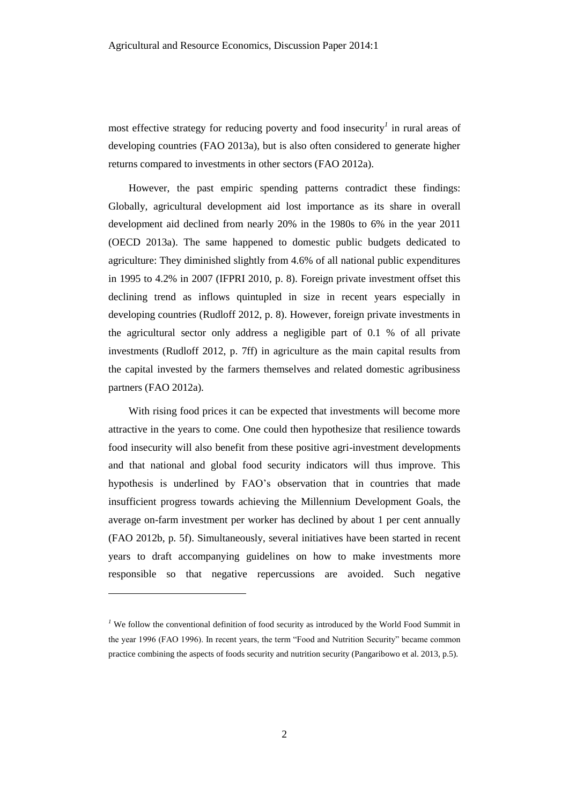most effective strategy for reducing poverty and food insecurity*<sup>1</sup>* in rural areas of developing countries (FAO 2013a), but is also often considered to generate higher returns compared to investments in other sectors (FAO 2012a).

However, the past empiric spending patterns contradict these findings: Globally, agricultural development aid lost importance as its share in overall development aid declined from nearly 20% in the 1980s to 6% in the year 2011 (OECD 2013a). The same happened to domestic public budgets dedicated to agriculture: They diminished slightly from 4.6% of all national public expenditures in 1995 to 4.2% in 2007 (IFPRI 2010, p. 8). Foreign private investment offset this declining trend as inflows quintupled in size in recent years especially in developing countries (Rudloff 2012, p. 8). However, foreign private investments in the agricultural sector only address a negligible part of 0.1 % of all private investments (Rudloff 2012, p. 7ff) in agriculture as the main capital results from the capital invested by the farmers themselves and related domestic agribusiness partners (FAO 2012a).

With rising food prices it can be expected that investments will become more attractive in the years to come. One could then hypothesize that resilience towards food insecurity will also benefit from these positive agri-investment developments and that national and global food security indicators will thus improve. This hypothesis is underlined by FAO's observation that in countries that made insufficient progress towards achieving the Millennium Development Goals, the average on-farm investment per worker has declined by about 1 per cent annually (FAO 2012b, p. 5f). Simultaneously, several initiatives have been started in recent years to draft accompanying guidelines on how to make investments more responsible so that negative repercussions are avoided. Such negative

l

<sup>&</sup>lt;sup>1</sup> We follow the conventional definition of food security as introduced by the World Food Summit in the year 1996 (FAO 1996). In recent years, the term "Food and Nutrition Security" became common practice combining the aspects of foods security and nutrition security (Pangaribowo et al. 2013, p.5).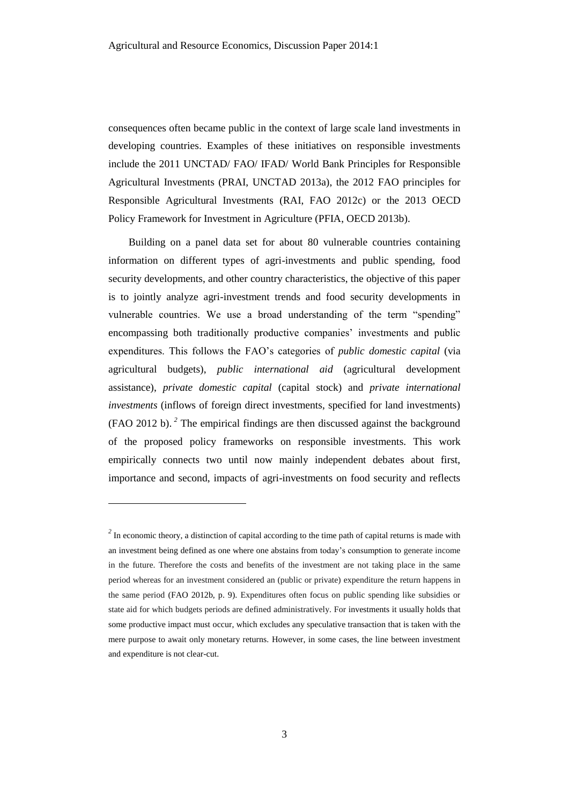consequences often became public in the context of large scale land investments in developing countries. Examples of these initiatives on responsible investments include the 2011 UNCTAD/ FAO/ IFAD/ World Bank Principles for Responsible Agricultural Investments (PRAI, UNCTAD 2013a), the 2012 FAO principles for Responsible Agricultural Investments (RAI, FAO 2012c) or the 2013 OECD Policy Framework for Investment in Agriculture (PFIA, OECD 2013b).

Building on a panel data set for about 80 vulnerable countries containing information on different types of agri-investments and public spending, food security developments, and other country characteristics, the objective of this paper is to jointly analyze agri-investment trends and food security developments in vulnerable countries. We use a broad understanding of the term "spending" encompassing both traditionally productive companies' investments and public expenditures. This follows the FAO's categories of *public domestic capital* (via agricultural budgets), *public international aid* (agricultural development assistance), *private domestic capital* (capital stock) and *private international investments* (inflows of foreign direct investments, specified for land investments) (FAO 2012 b). *<sup>2</sup>* The empirical findings are then discussed against the background of the proposed policy frameworks on responsible investments. This work empirically connects two until now mainly independent debates about first, importance and second, impacts of agri-investments on food security and reflects

l

<sup>&</sup>lt;sup>2</sup> In economic theory, a distinction of capital according to the time path of capital returns is made with an investment being defined as one where one abstains from today's consumption to generate income in the future. Therefore the costs and benefits of the investment are not taking place in the same period whereas for an investment considered an (public or private) expenditure the return happens in the same period (FAO 2012b, p. 9). Expenditures often focus on public spending like subsidies or state aid for which budgets periods are defined administratively. For investments it usually holds that some productive impact must occur, which excludes any speculative transaction that is taken with the mere purpose to await only monetary returns. However, in some cases, the line between investment and expenditure is not clear-cut.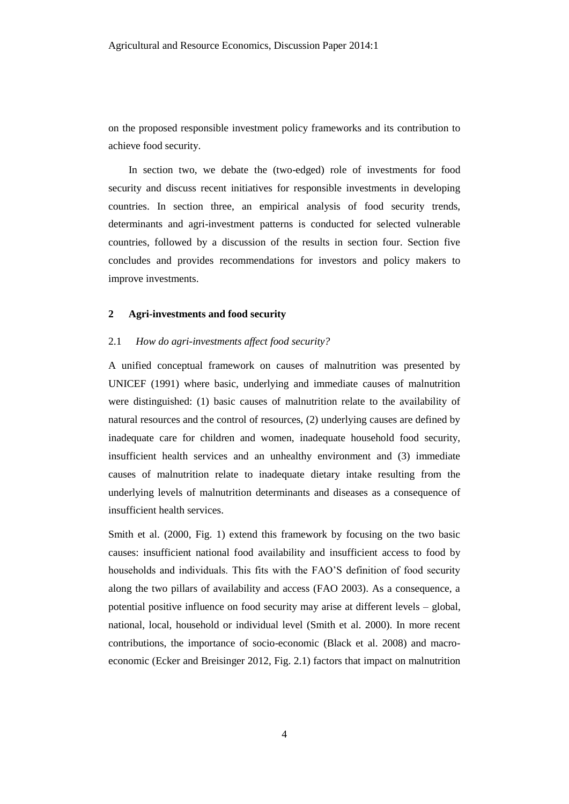on the proposed responsible investment policy frameworks and its contribution to achieve food security.

In section two, we debate the (two-edged) role of investments for food security and discuss recent initiatives for responsible investments in developing countries. In section three, an empirical analysis of food security trends, determinants and agri-investment patterns is conducted for selected vulnerable countries, followed by a discussion of the results in section four. Section five concludes and provides recommendations for investors and policy makers to improve investments.

#### **2 Agri-investments and food security**

#### 2.1 *How do agri-investments affect food security?*

A unified conceptual framework on causes of malnutrition was presented by UNICEF (1991) where basic, underlying and immediate causes of malnutrition were distinguished: (1) basic causes of malnutrition relate to the availability of natural resources and the control of resources, (2) underlying causes are defined by inadequate care for children and women, inadequate household food security, insufficient health services and an unhealthy environment and (3) immediate causes of malnutrition relate to inadequate dietary intake resulting from the underlying levels of malnutrition determinants and diseases as a consequence of insufficient health services.

Smith et al. (2000, Fig. 1) extend this framework by focusing on the two basic causes: insufficient national food availability and insufficient access to food by households and individuals. This fits with the FAO'S definition of food security along the two pillars of availability and access (FAO 2003). As a consequence, a potential positive influence on food security may arise at different levels – global, national, local, household or individual level (Smith et al. 2000). In more recent contributions, the importance of socio-economic (Black et al. 2008) and macroeconomic (Ecker and Breisinger 2012, Fig. 2.1) factors that impact on malnutrition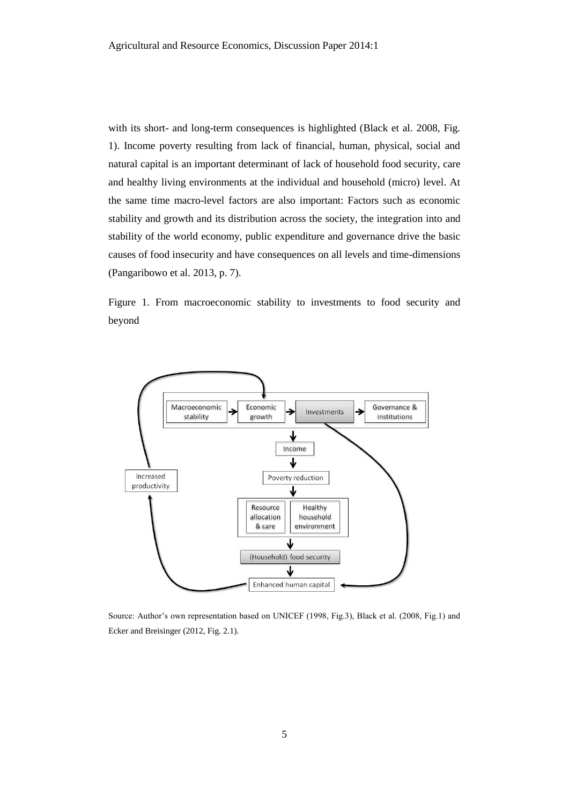with its short- and long-term consequences is highlighted (Black et al. 2008, Fig. 1). Income poverty resulting from lack of financial, human, physical, social and natural capital is an important determinant of lack of household food security, care and healthy living environments at the individual and household (micro) level. At the same time macro-level factors are also important: Factors such as economic stability and growth and its distribution across the society, the integration into and stability of the world economy, public expenditure and governance drive the basic causes of food insecurity and have consequences on all levels and time-dimensions (Pangaribowo et al. 2013, p. 7).

Figure 1. From macroeconomic stability to investments to food security and beyond



Source: Author's own representation based on UNICEF (1998, Fig.3), Black et al. (2008, Fig.1) and Ecker and Breisinger (2012, Fig. 2.1).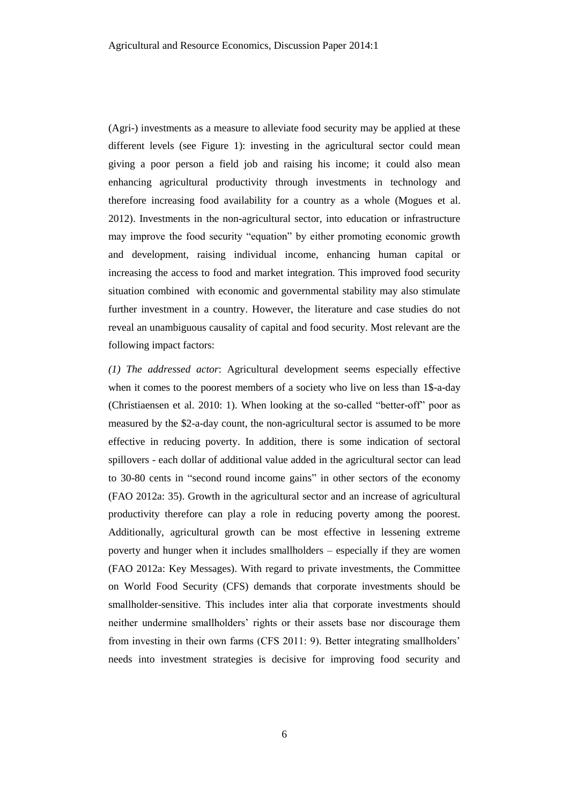(Agri-) investments as a measure to alleviate food security may be applied at these different levels (see Figure 1): investing in the agricultural sector could mean giving a poor person a field job and raising his income; it could also mean enhancing agricultural productivity through investments in technology and therefore increasing food availability for a country as a whole (Mogues et al. 2012). Investments in the non-agricultural sector, into education or infrastructure may improve the food security "equation" by either promoting economic growth and development, raising individual income, enhancing human capital or increasing the access to food and market integration. This improved food security situation combined with economic and governmental stability may also stimulate further investment in a country. However, the literature and case studies do not reveal an unambiguous causality of capital and food security. Most relevant are the following impact factors:

*(1) The addressed actor*: Agricultural development seems especially effective when it comes to the poorest members of a society who live on less than 1\$-a-day (Christiaensen et al. 2010: 1). When looking at the so-called "better-off" poor as measured by the \$2-a-day count, the non-agricultural sector is assumed to be more effective in reducing poverty. In addition, there is some indication of sectoral spillovers - each dollar of additional value added in the agricultural sector can lead to 30-80 cents in "second round income gains" in other sectors of the economy (FAO 2012a: 35). Growth in the agricultural sector and an increase of agricultural productivity therefore can play a role in reducing poverty among the poorest. Additionally, agricultural growth can be most effective in lessening extreme poverty and hunger when it includes smallholders – especially if they are women (FAO 2012a: Key Messages). With regard to private investments, the Committee on World Food Security (CFS) demands that corporate investments should be smallholder-sensitive. This includes inter alia that corporate investments should neither undermine smallholders' rights or their assets base nor discourage them from investing in their own farms (CFS 2011: 9). Better integrating smallholders' needs into investment strategies is decisive for improving food security and

6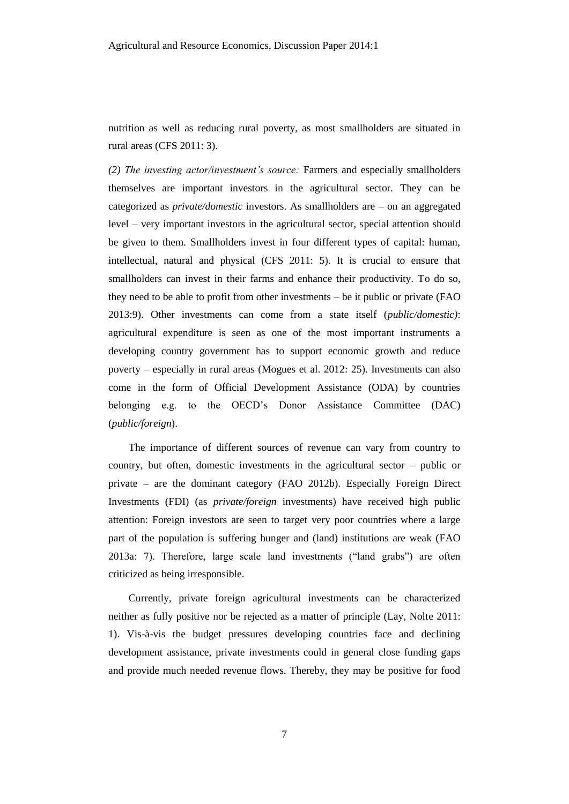nutrition as well as reducing rural poverty, as most smallholders are situated in rural areas (CFS 2011: 3).

*(2) The investing actor/investment's source:* Farmers and especially smallholders themselves are important investors in the agricultural sector. They can be categorized as *private/domestic* investors. As smallholders are – on an aggregated level – very important investors in the agricultural sector, special attention should be given to them. Smallholders invest in four different types of capital: human, intellectual, natural and physical (CFS 2011: 5). It is crucial to ensure that smallholders can invest in their farms and enhance their productivity. To do so, they need to be able to profit from other investments – be it public or private (FAO 2013:9). Other investments can come from a state itself (*public/domestic)*: agricultural expenditure is seen as one of the most important instruments a developing country government has to support economic growth and reduce poverty – especially in rural areas (Mogues et al. 2012: 25). Investments can also come in the form of Official Development Assistance (ODA) by countries belonging e.g. to the OECD's Donor Assistance Committee (DAC) (*public/foreign*).

The importance of different sources of revenue can vary from country to country, but often, domestic investments in the agricultural sector – public or private – are the dominant category (FAO 2012b). Especially Foreign Direct Investments (FDI) (as *private/foreign* investments) have received high public attention: Foreign investors are seen to target very poor countries where a large part of the population is suffering hunger and (land) institutions are weak (FAO 2013a: 7). Therefore, large scale land investments ("land grabs") are often criticized as being irresponsible.

Currently, private foreign agricultural investments can be characterized neither as fully positive nor be rejected as a matter of principle (Lay, Nolte 2011: 1). Vis-à-vis the budget pressures developing countries face and declining development assistance, private investments could in general close funding gaps and provide much needed revenue flows. Thereby, they may be positive for food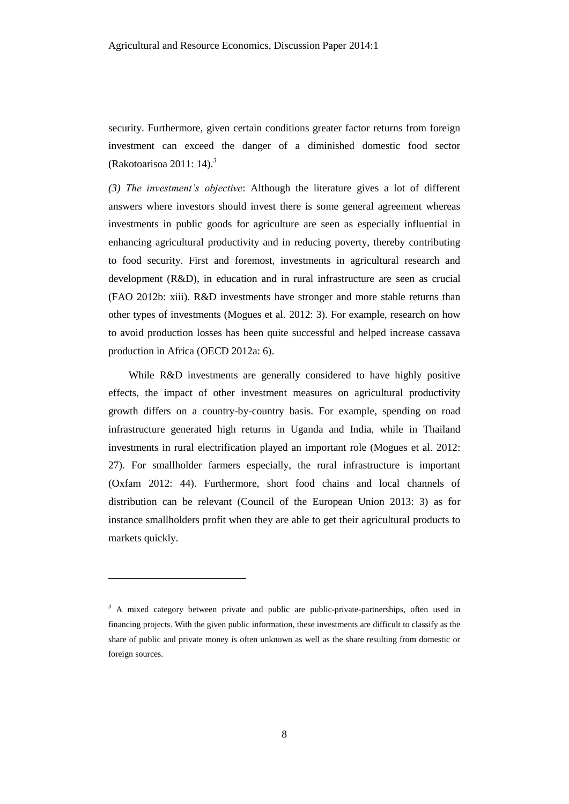security. Furthermore, given certain conditions greater factor returns from foreign investment can exceed the danger of a diminished domestic food sector (Rakotoarisoa 2011: 14).*<sup>3</sup>*

*(3) The investment's objective*: Although the literature gives a lot of different answers where investors should invest there is some general agreement whereas investments in public goods for agriculture are seen as especially influential in enhancing agricultural productivity and in reducing poverty, thereby contributing to food security. First and foremost, investments in agricultural research and development (R&D), in education and in rural infrastructure are seen as crucial (FAO 2012b: xiii). R&D investments have stronger and more stable returns than other types of investments (Mogues et al. 2012: 3). For example, research on how to avoid production losses has been quite successful and helped increase cassava production in Africa (OECD 2012a: 6).

While R&D investments are generally considered to have highly positive effects, the impact of other investment measures on agricultural productivity growth differs on a country-by-country basis. For example, spending on road infrastructure generated high returns in Uganda and India, while in Thailand investments in rural electrification played an important role (Mogues et al. 2012: 27). For smallholder farmers especially, the rural infrastructure is important (Oxfam 2012: 44). Furthermore, short food chains and local channels of distribution can be relevant (Council of the European Union 2013: 3) as for instance smallholders profit when they are able to get their agricultural products to markets quickly.

l

<sup>&</sup>lt;sup>3</sup> A mixed category between private and public are public-private-partnerships, often used in financing projects. With the given public information, these investments are difficult to classify as the share of public and private money is often unknown as well as the share resulting from domestic or foreign sources.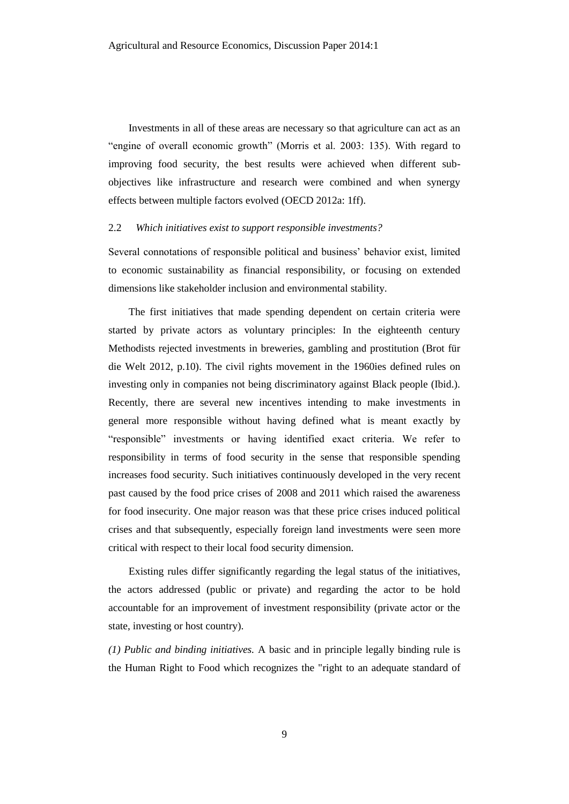Investments in all of these areas are necessary so that agriculture can act as an "engine of overall economic growth" (Morris et al. 2003: 135). With regard to improving food security, the best results were achieved when different subobjectives like infrastructure and research were combined and when synergy effects between multiple factors evolved (OECD 2012a: 1ff).

#### 2.2 *Which initiatives exist to support responsible investments?*

Several connotations of responsible political and business' behavior exist, limited to economic sustainability as financial responsibility, or focusing on extended dimensions like stakeholder inclusion and environmental stability.

The first initiatives that made spending dependent on certain criteria were started by private actors as voluntary principles: In the eighteenth century Methodists rejected investments in breweries, gambling and prostitution (Brot für die Welt 2012, p.10). The civil rights movement in the 1960ies defined rules on investing only in companies not being discriminatory against Black people (Ibid.). Recently, there are several new incentives intending to make investments in general more responsible without having defined what is meant exactly by "responsible" investments or having identified exact criteria. We refer to responsibility in terms of food security in the sense that responsible spending increases food security. Such initiatives continuously developed in the very recent past caused by the food price crises of 2008 and 2011 which raised the awareness for food insecurity. One major reason was that these price crises induced political crises and that subsequently, especially foreign land investments were seen more critical with respect to their local food security dimension.

Existing rules differ significantly regarding the legal status of the initiatives, the actors addressed (public or private) and regarding the actor to be hold accountable for an improvement of investment responsibility (private actor or the state, investing or host country).

*(1) Public and binding initiatives.* A basic and in principle legally binding rule is the Human Right to Food which recognizes the "right to an adequate standard of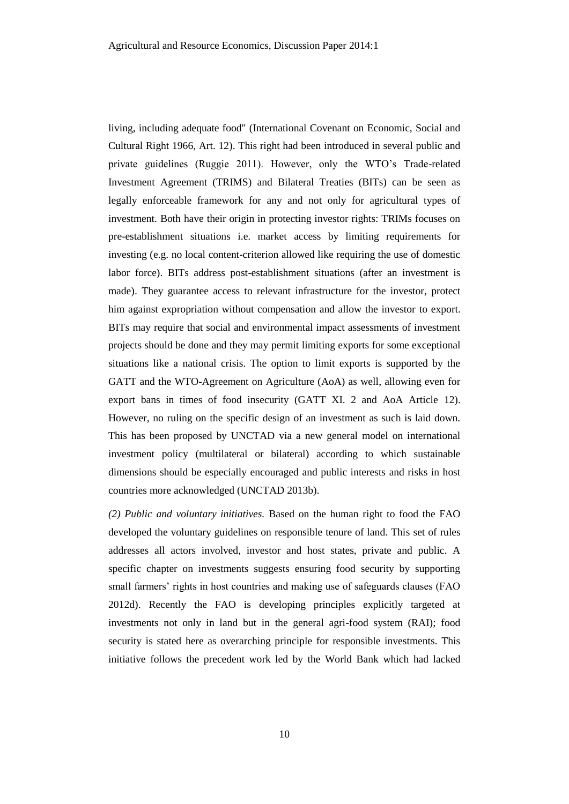living, including adequate food" (International Covenant on Economic, Social and Cultural Right 1966, Art. 12). This right had been introduced in several public and private guidelines (Ruggie 2011). However, only the WTO's Trade-related Investment Agreement (TRIMS) and Bilateral Treaties (BITs) can be seen as legally enforceable framework for any and not only for agricultural types of investment. Both have their origin in protecting investor rights: TRIMs focuses on pre-establishment situations i.e. market access by limiting requirements for investing (e.g. no local content-criterion allowed like requiring the use of domestic labor force). BITs address post-establishment situations (after an investment is made). They guarantee access to relevant infrastructure for the investor, protect him against expropriation without compensation and allow the investor to export. BITs may require that social and environmental impact assessments of investment projects should be done and they may permit limiting exports for some exceptional situations like a national crisis. The option to limit exports is supported by the GATT and the WTO-Agreement on Agriculture (AoA) as well, allowing even for export bans in times of food insecurity (GATT XI. 2 and AoA Article 12). However, no ruling on the specific design of an investment as such is laid down. This has been proposed by UNCTAD via a new general model on international investment policy (multilateral or bilateral) according to which sustainable dimensions should be especially encouraged and public interests and risks in host countries more acknowledged (UNCTAD 2013b).

*(2) Public and voluntary initiatives.* Based on the human right to food the FAO developed the voluntary guidelines on responsible tenure of land. This set of rules addresses all actors involved, investor and host states, private and public. A specific chapter on investments suggests ensuring food security by supporting small farmers' rights in host countries and making use of safeguards clauses (FAO 2012d). Recently the FAO is developing principles explicitly targeted at investments not only in land but in the general agri-food system (RAI); food security is stated here as overarching principle for responsible investments. This initiative follows the precedent work led by the World Bank which had lacked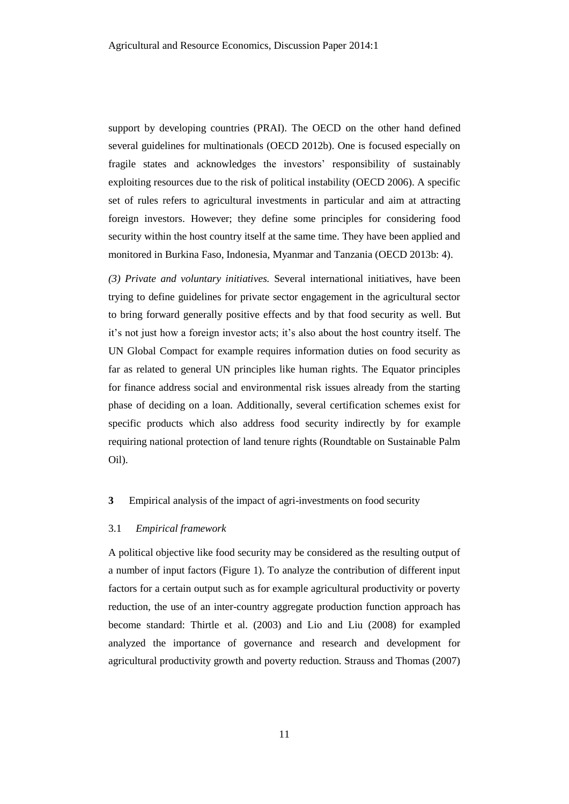support by developing countries (PRAI). The OECD on the other hand defined several guidelines for multinationals (OECD 2012b). One is focused especially on fragile states and acknowledges the investors' responsibility of sustainably exploiting resources due to the risk of political instability (OECD 2006). A specific set of rules refers to agricultural investments in particular and aim at attracting foreign investors. However; they define some principles for considering food security within the host country itself at the same time. They have been applied and monitored in Burkina Faso, Indonesia, Myanmar and Tanzania (OECD 2013b: 4).

*(3) Private and voluntary initiatives.* Several international initiatives, have been trying to define guidelines for private sector engagement in the agricultural sector to bring forward generally positive effects and by that food security as well. But it's not just how a foreign investor acts; it's also about the host country itself. The UN Global Compact for example requires information duties on food security as far as related to general UN principles like human rights. The Equator principles for finance address social and environmental risk issues already from the starting phase of deciding on a loan. Additionally, several certification schemes exist for specific products which also address food security indirectly by for example requiring national protection of land tenure rights (Roundtable on Sustainable Palm Oil).

#### **3** Empirical analysis of the impact of agri-investments on food security

#### 3.1 *Empirical framework*

A political objective like food security may be considered as the resulting output of a number of input factors (Figure 1). To analyze the contribution of different input factors for a certain output such as for example agricultural productivity or poverty reduction, the use of an inter-country aggregate production function approach has become standard: Thirtle et al. (2003) and Lio and Liu (2008) for exampled analyzed the importance of governance and research and development for agricultural productivity growth and poverty reduction. Strauss and Thomas (2007)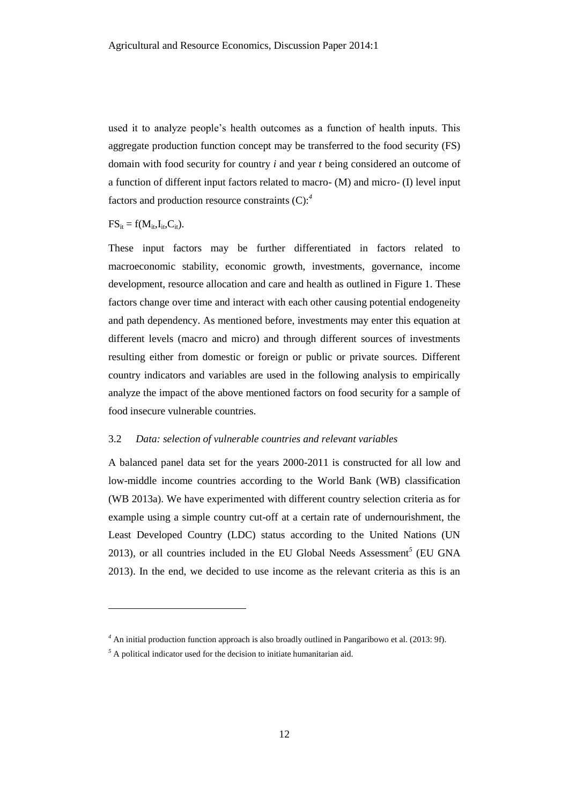used it to analyze people's health outcomes as a function of health inputs. This aggregate production function concept may be transferred to the food security (FS) domain with food security for country *i* and year *t* being considered an outcome of a function of different input factors related to macro- (M) and micro- (I) level input factors and production resource constraints (C):*<sup>4</sup>*

 $FS_{it} = f(M_{it},I_{it},C_{it}).$ 

l

These input factors may be further differentiated in factors related to macroeconomic stability, economic growth, investments, governance, income development, resource allocation and care and health as outlined in Figure 1. These factors change over time and interact with each other causing potential endogeneity and path dependency. As mentioned before, investments may enter this equation at different levels (macro and micro) and through different sources of investments resulting either from domestic or foreign or public or private sources. Different country indicators and variables are used in the following analysis to empirically analyze the impact of the above mentioned factors on food security for a sample of food insecure vulnerable countries.

#### 3.2 *Data: selection of vulnerable countries and relevant variables*

A balanced panel data set for the years 2000-2011 is constructed for all low and low-middle income countries according to the World Bank (WB) classification (WB 2013a). We have experimented with different country selection criteria as for example using a simple country cut-off at a certain rate of undernourishment, the Least Developed Country (LDC) status according to the United Nations (UN 2013), or all countries included in the EU Global Needs Assessment*<sup>5</sup>* (EU GNA 2013). In the end, we decided to use income as the relevant criteria as this is an

*<sup>4</sup>* An initial production function approach is also broadly outlined in Pangaribowo et al. (2013: 9f).

<sup>&</sup>lt;sup>5</sup> A political indicator used for the decision to initiate humanitarian aid.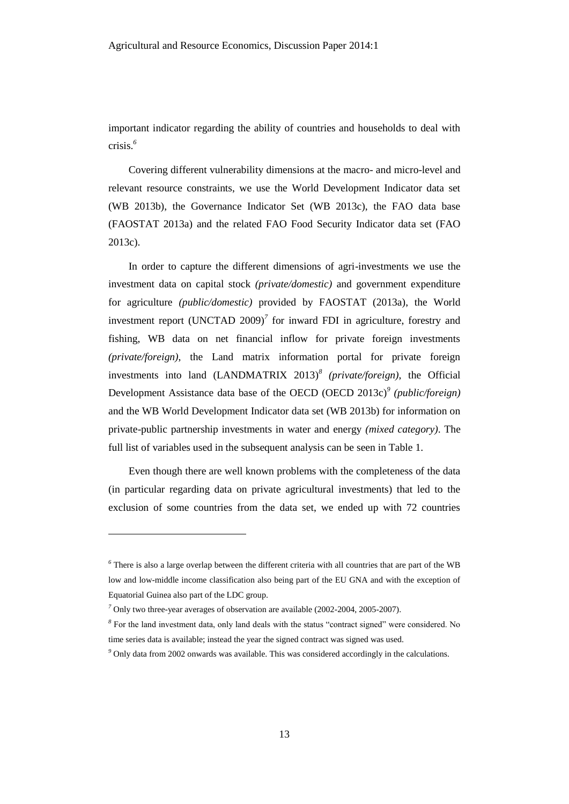important indicator regarding the ability of countries and households to deal with crisis.*<sup>6</sup>*

Covering different vulnerability dimensions at the macro- and micro-level and relevant resource constraints, we use the World Development Indicator data set (WB 2013b), the Governance Indicator Set (WB 2013c), the FAO data base (FAOSTAT 2013a) and the related FAO Food Security Indicator data set (FAO 2013c).

In order to capture the different dimensions of agri-investments we use the investment data on capital stock *(private/domestic)* and government expenditure for agriculture *(public/domestic)* provided by FAOSTAT (2013a), the World investment report (UNCTAD 2009)*<sup>7</sup>* for inward FDI in agriculture, forestry and fishing, WB data on net financial inflow for private foreign investments *(private/foreign)*, the Land matrix information portal for private foreign investments into land (LANDMATRIX 2013)*<sup>8</sup> (private/foreign)*, the Official Development Assistance data base of the OECD (OECD 2013c)*<sup>9</sup> (public/foreign)* and the WB World Development Indicator data set (WB 2013b) for information on private-public partnership investments in water and energy *(mixed category)*. The full list of variables used in the subsequent analysis can be seen in Table 1.

Even though there are well known problems with the completeness of the data (in particular regarding data on private agricultural investments) that led to the exclusion of some countries from the data set, we ended up with 72 countries

l

*<sup>6</sup>* There is also a large overlap between the different criteria with all countries that are part of the WB low and low-middle income classification also being part of the EU GNA and with the exception of Equatorial Guinea also part of the LDC group.

*<sup>7</sup>* Only two three-year averages of observation are available (2002-2004, 2005-2007).

<sup>&</sup>lt;sup>8</sup> For the land investment data, only land deals with the status "contract signed" were considered. No time series data is available; instead the year the signed contract was signed was used.

*<sup>9</sup>* Only data from 2002 onwards was available. This was considered accordingly in the calculations.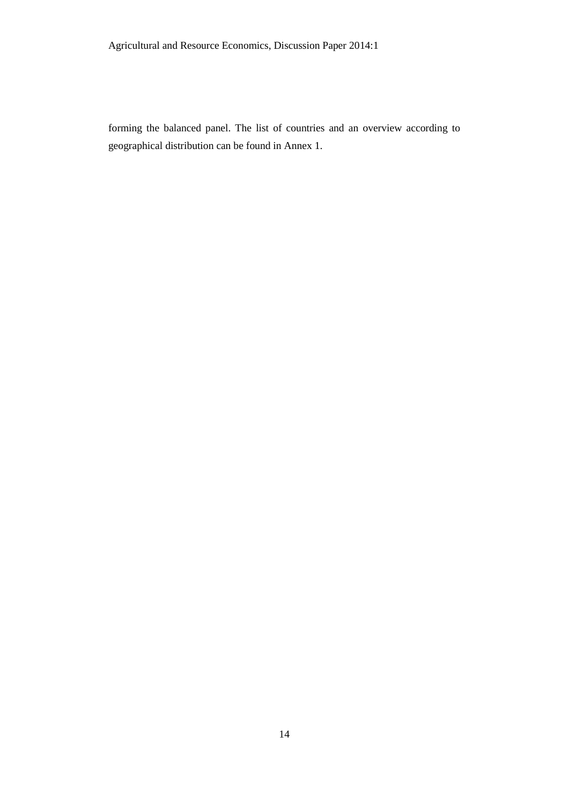forming the balanced panel. The list of countries and an overview according to geographical distribution can be found in Annex 1.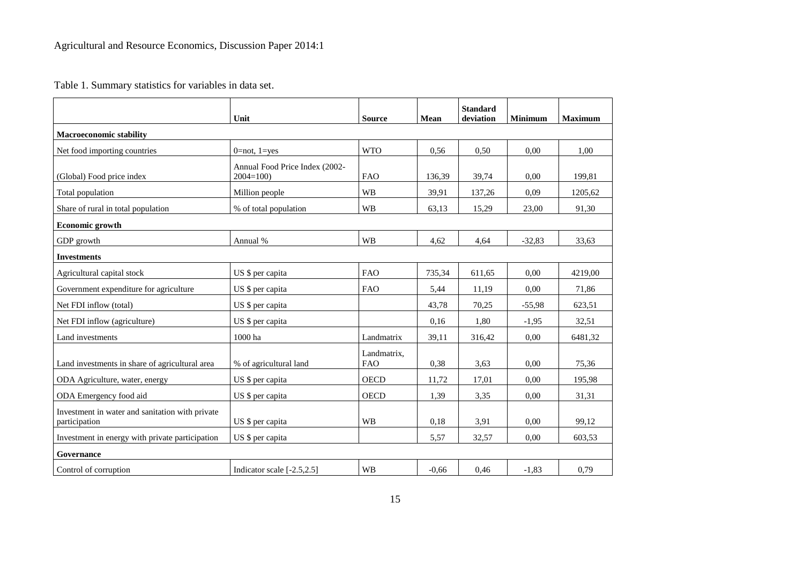Table 1. Summary statistics for variables in data set.

|                                                                  | Unit                                           | <b>Source</b>             | <b>Mean</b> | <b>Standard</b><br>deviation | <b>Minimum</b> | <b>Maximum</b> |
|------------------------------------------------------------------|------------------------------------------------|---------------------------|-------------|------------------------------|----------------|----------------|
| <b>Macroeconomic stability</b>                                   |                                                |                           |             |                              |                |                |
| Net food importing countries                                     | $0 = not, 1 = yes$                             | <b>WTO</b>                | 0,56        | 0,50                         | 0.00           | 1.00           |
| (Global) Food price index                                        | Annual Food Price Index (2002-<br>$2004 = 100$ | <b>FAO</b>                | 136,39      | 39,74                        | 0.00           | 199,81         |
| Total population                                                 | Million people                                 | <b>WB</b>                 | 39.91       | 137,26                       | 0.09           | 1205,62        |
| Share of rural in total population                               | % of total population                          | <b>WB</b>                 | 63,13       | 15,29                        | 23,00          | 91,30          |
| Economic growth                                                  |                                                |                           |             |                              |                |                |
| GDP growth                                                       | Annual %                                       | <b>WB</b>                 | 4,62        | 4,64                         | $-32,83$       | 33,63          |
| <b>Investments</b>                                               |                                                |                           |             |                              |                |                |
| Agricultural capital stock                                       | US \$ per capita                               | <b>FAO</b>                | 735,34      | 611,65                       | 0,00           | 4219,00        |
| Government expenditure for agriculture                           | US \$ per capita                               | <b>FAO</b>                | 5,44        | 11,19                        | 0,00           | 71,86          |
| Net FDI inflow (total)                                           | US \$ per capita                               |                           | 43,78       | 70,25                        | $-55,98$       | 623,51         |
| Net FDI inflow (agriculture)                                     | US \$ per capita                               |                           | 0,16        | 1,80                         | $-1,95$        | 32,51          |
| Land investments                                                 | 1000 ha                                        | Landmatrix                | 39,11       | 316,42                       | 0.00           | 6481,32        |
| Land investments in share of agricultural area                   | % of agricultural land                         | Landmatrix,<br><b>FAO</b> | 0,38        | 3.63                         | 0.00           | 75,36          |
| ODA Agriculture, water, energy                                   | US \$ per capita                               | <b>OECD</b>               | 11,72       | 17,01                        | 0.00           | 195,98         |
| ODA Emergency food aid                                           | US \$ per capita                               | <b>OECD</b>               | 1,39        | 3,35                         | 0,00           | 31,31          |
| Investment in water and sanitation with private<br>participation | US \$ per capita                               | WB                        | 0,18        | 3,91                         | 0,00           | 99,12          |
| Investment in energy with private participation                  | US \$ per capita                               |                           | 5,57        | 32,57                        | 0.00           | 603,53         |
| Governance                                                       |                                                |                           |             |                              |                |                |
| Control of corruption                                            | Indicator scale [-2.5,2.5]                     | <b>WB</b>                 | $-0.66$     | 0.46                         | $-1.83$        | 0.79           |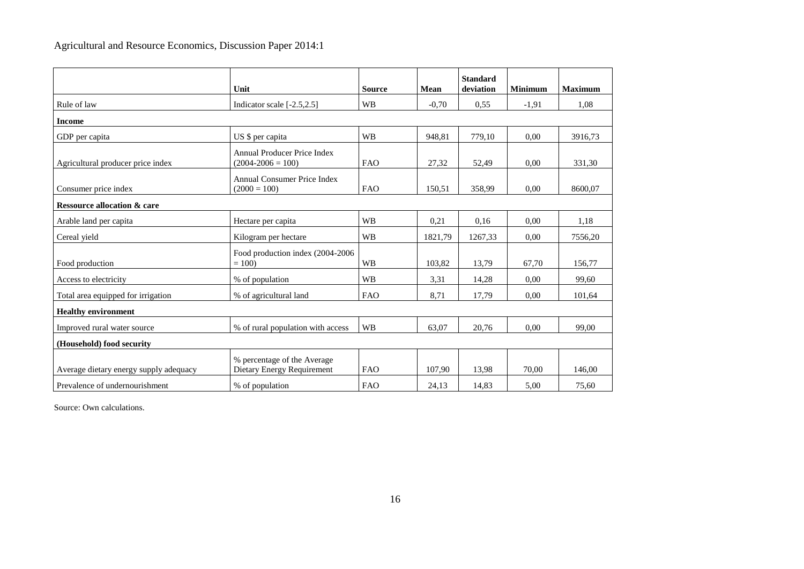|                                        | Unit                                                      | <b>Source</b> | <b>Mean</b> | <b>Standard</b><br>deviation | <b>Minimum</b> | <b>Maximum</b> |
|----------------------------------------|-----------------------------------------------------------|---------------|-------------|------------------------------|----------------|----------------|
| Rule of law                            | Indicator scale $[-2.5, 2.5]$                             | <b>WB</b>     | $-0,70$     | 0.55                         | $-1,91$        | 1.08           |
| <b>Income</b>                          |                                                           |               |             |                              |                |                |
| GDP per capita                         | US \$ per capita                                          | <b>WB</b>     | 948,81      | 779,10                       | 0,00           | 3916,73        |
| Agricultural producer price index      | Annual Producer Price Index<br>$(2004 - 2006 = 100)$      | <b>FAO</b>    | 27,32       | 52,49                        | 0.00           | 331,30         |
| Consumer price index                   | Annual Consumer Price Index<br>$(2000 = 100)$             | <b>FAO</b>    | 150,51      | 358,99                       | 0,00           | 8600,07        |
| <b>Ressource allocation &amp; care</b> |                                                           |               |             |                              |                |                |
| Arable land per capita                 | Hectare per capita                                        | <b>WB</b>     | 0,21        | 0.16                         | 0.00           | 1,18           |
| Cereal yield                           | Kilogram per hectare                                      | <b>WB</b>     | 1821,79     | 1267,33                      | 0.00           | 7556,20        |
| Food production                        | Food production index (2004-2006)<br>$= 100$              | <b>WB</b>     | 103,82      | 13,79                        | 67,70          | 156,77         |
| Access to electricity                  | % of population                                           | <b>WB</b>     | 3,31        | 14,28                        | 0.00           | 99,60          |
| Total area equipped for irrigation     | % of agricultural land                                    | <b>FAO</b>    | 8,71        | 17,79                        | 0.00           | 101,64         |
| <b>Healthy environment</b>             |                                                           |               |             |                              |                |                |
| Improved rural water source            | % of rural population with access                         | <b>WB</b>     | 63,07       | 20,76                        | 0,00           | 99,00          |
| (Household) food security              |                                                           |               |             |                              |                |                |
| Average dietary energy supply adequacy | % percentage of the Average<br>Dietary Energy Requirement | FAO           | 107,90      | 13,98                        | 70,00          | 146.00         |
| Prevalence of undernourishment         | % of population                                           | <b>FAO</b>    | 24,13       | 14,83                        | 5,00           | 75,60          |

Source: Own calculations.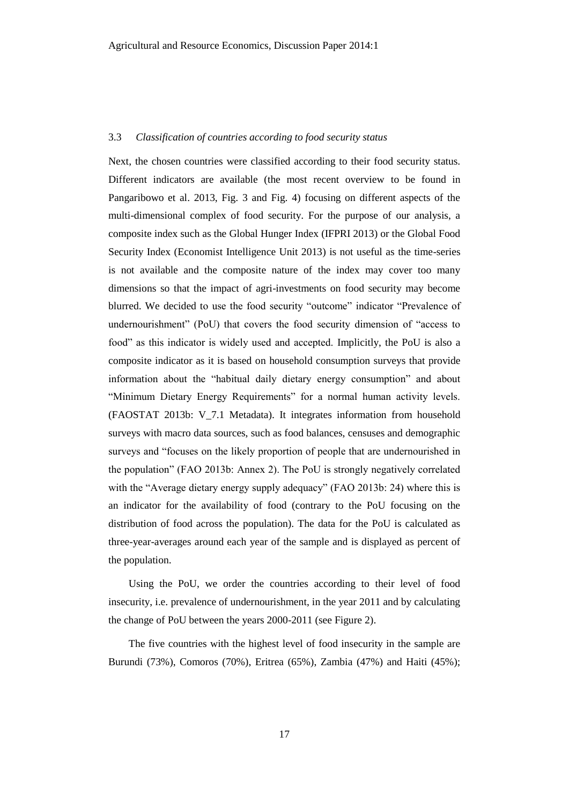#### 3.3 *Classification of countries according to food security status*

Next, the chosen countries were classified according to their food security status. Different indicators are available (the most recent overview to be found in Pangaribowo et al. 2013, Fig. 3 and Fig. 4) focusing on different aspects of the multi-dimensional complex of food security. For the purpose of our analysis, a composite index such as the Global Hunger Index (IFPRI 2013) or the Global Food Security Index (Economist Intelligence Unit 2013) is not useful as the time-series is not available and the composite nature of the index may cover too many dimensions so that the impact of agri-investments on food security may become blurred. We decided to use the food security "outcome" indicator "Prevalence of undernourishment" (PoU) that covers the food security dimension of "access to food" as this indicator is widely used and accepted. Implicitly, the PoU is also a composite indicator as it is based on household consumption surveys that provide information about the "habitual daily dietary energy consumption" and about "Minimum Dietary Energy Requirements" for a normal human activity levels. (FAOSTAT 2013b: V\_7.1 Metadata). It integrates information from household surveys with macro data sources, such as food balances, censuses and demographic surveys and "focuses on the likely proportion of people that are undernourished in the population" (FAO 2013b: Annex 2). The PoU is strongly negatively correlated with the "Average dietary energy supply adequacy" (FAO 2013b: 24) where this is an indicator for the availability of food (contrary to the PoU focusing on the distribution of food across the population). The data for the PoU is calculated as three-year-averages around each year of the sample and is displayed as percent of the population.

Using the PoU, we order the countries according to their level of food insecurity, i.e. prevalence of undernourishment, in the year 2011 and by calculating the change of PoU between the years 2000-2011 (see Figure 2).

The five countries with the highest level of food insecurity in the sample are Burundi (73%), Comoros (70%), Eritrea (65%), Zambia (47%) and Haiti (45%);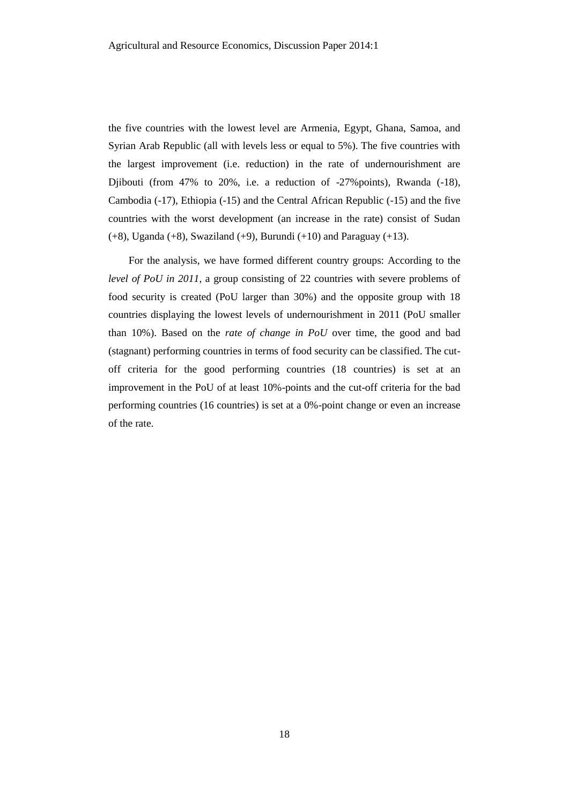the five countries with the lowest level are Armenia, Egypt, Ghana, Samoa, and Syrian Arab Republic (all with levels less or equal to 5%). The five countries with the largest improvement (i.e. reduction) in the rate of undernourishment are Djibouti (from 47% to 20%, i.e. a reduction of -27%points), Rwanda (-18), Cambodia (-17), Ethiopia (-15) and the Central African Republic (-15) and the five countries with the worst development (an increase in the rate) consist of Sudan (+8), Uganda (+8), Swaziland (+9), Burundi (+10) and Paraguay (+13).

For the analysis, we have formed different country groups: According to the *level of PoU in 2011*, a group consisting of 22 countries with severe problems of food security is created (PoU larger than 30%) and the opposite group with 18 countries displaying the lowest levels of undernourishment in 2011 (PoU smaller than 10%). Based on the *rate of change in PoU* over time, the good and bad (stagnant) performing countries in terms of food security can be classified. The cutoff criteria for the good performing countries (18 countries) is set at an improvement in the PoU of at least 10%-points and the cut-off criteria for the bad performing countries (16 countries) is set at a 0%-point change or even an increase of the rate.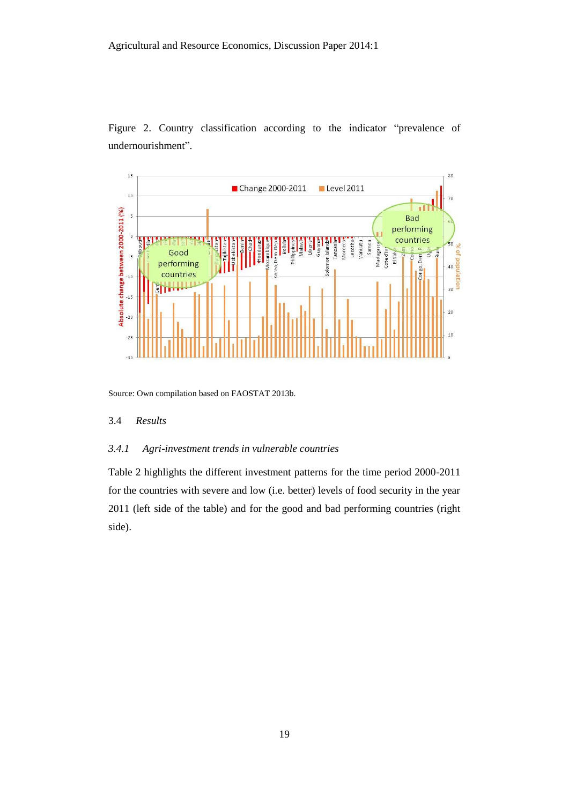Figure 2. Country classification according to the indicator "prevalence of undernourishment".



Source: Own compilation based on FAOSTAT 2013b.

#### 3.4 *Results*

#### *3.4.1 Agri-investment trends in vulnerable countries*

Table 2 highlights the different investment patterns for the time period 2000-2011 for the countries with severe and low (i.e. better) levels of food security in the year 2011 (left side of the table) and for the good and bad performing countries (right side).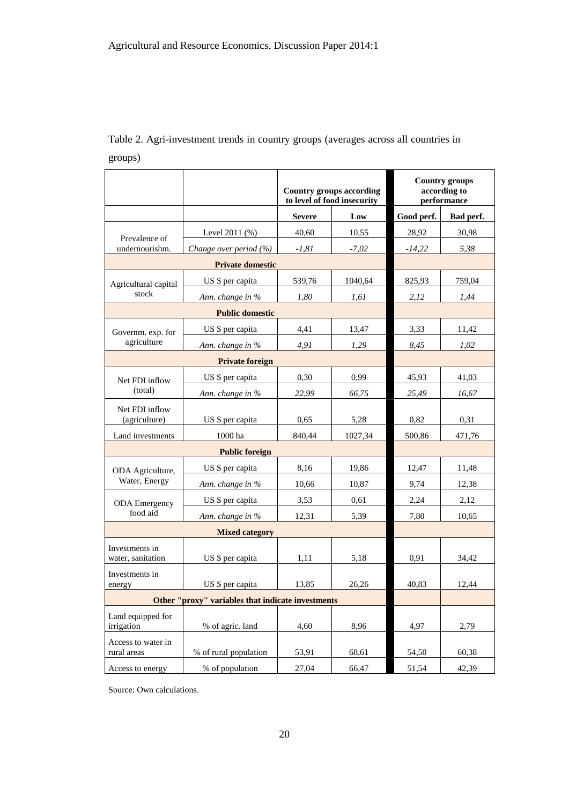|                                                   |                            |               | <b>Country groups according</b><br>to level of food insecurity | <b>Country groups</b><br>according to<br>performance |           |  |
|---------------------------------------------------|----------------------------|---------------|----------------------------------------------------------------|------------------------------------------------------|-----------|--|
|                                                   |                            | <b>Severe</b> | Low                                                            | Good perf.                                           | Bad perf. |  |
| Prevalence of                                     | Level 2011 (%)             | 40,60         | 10,55                                                          | 28,92                                                | 30,98     |  |
| undernourishm.                                    | Change over period $(\% )$ | $-1,81$       | $-7,02$                                                        | $-14,22$                                             | 5,38      |  |
|                                                   | <b>Private domestic</b>    |               |                                                                |                                                      |           |  |
| Agricultural capital                              | US \$ per capita           | 539,76        | 1040,64                                                        | 825,93                                               | 759,04    |  |
| stock                                             | Ann. change in %           | 1,80          | 1,61                                                           | 2,12                                                 | 1,44      |  |
| <b>Public domestic</b>                            |                            |               |                                                                |                                                      |           |  |
| Governm. exp. for                                 | US \$ per capita           | 4,41          | 13,47                                                          | 3,33                                                 | 11,42     |  |
| agriculture                                       | Ann. change in %           | 4,91          | 1,29                                                           | 8,45                                                 | 1,02      |  |
|                                                   | <b>Private foreign</b>     |               |                                                                |                                                      |           |  |
| Net FDI inflow                                    | US \$ per capita           | 0,30          | 0,99                                                           | 45,93                                                | 41,03     |  |
| (total)                                           | Ann. change in %           | 22,99         | 66,75                                                          | 25,49                                                | 16,67     |  |
| Net FDI inflow<br>(agriculture)                   | US \$ per capita           | 0,65          | 5,28                                                           | 0,82                                                 | 0,31      |  |
| Land investments                                  | 1000 ha                    | 840,44        | 1027,34                                                        | 500,86                                               | 471,76    |  |
| <b>Public foreign</b>                             |                            |               |                                                                |                                                      |           |  |
| ODA Agriculture,                                  | US \$ per capita           | 8,16          | 19,86                                                          | 12,47                                                | 11,48     |  |
| Water, Energy                                     | Ann. change in %           | 10,66         | 10,87                                                          | 9,74                                                 | 12,38     |  |
| <b>ODA</b> Emergency                              | US \$ per capita           | 3,53          | 0,61                                                           | 2,24                                                 | 2,12      |  |
| food aid                                          | Ann. change in %           | 12,31         | 5,39                                                           | 7,80                                                 | 10,65     |  |
| <b>Mixed category</b>                             |                            |               |                                                                |                                                      |           |  |
| Investments in<br>water, sanitation               | US \$ per capita           | 1,11          | 5,18                                                           | 0,91                                                 | 34,42     |  |
| Investments in<br>energy                          | US \$ per capita           | 13,85         | 26,26                                                          | 40,83                                                | 12,44     |  |
| Other "proxy" variables that indicate investments |                            |               |                                                                |                                                      |           |  |
| Land equipped for<br>irrigation                   | % of agric. land           | 4,60          | 8,96                                                           | 4,97                                                 | 2,79      |  |
| Access to water in<br>rural areas                 | % of rural population      | 53,91         | 68,61                                                          | 54,50                                                | 60,38     |  |
| Access to energy                                  | % of population            | 27,04         | 66,47                                                          | 51,54                                                | 42,39     |  |

### Table 2. Agri-investment trends in country groups (averages across all countries in groups)

Source: Own calculations.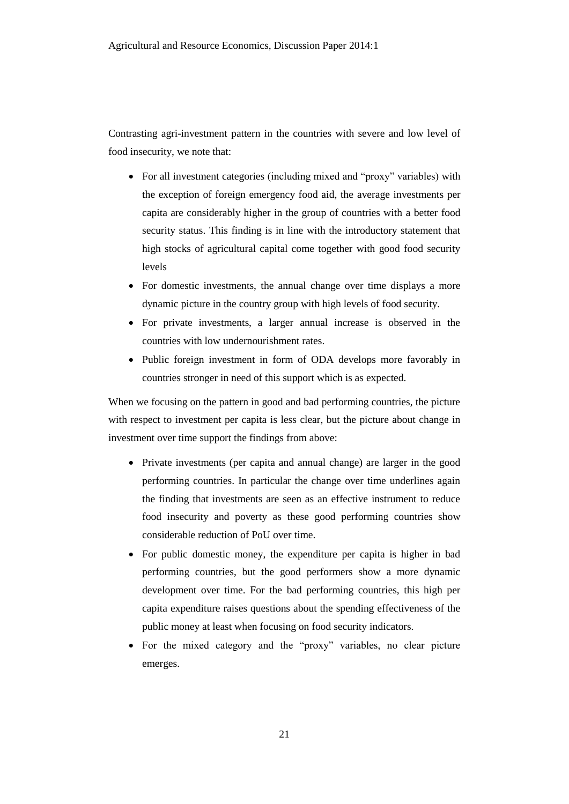Contrasting agri-investment pattern in the countries with severe and low level of food insecurity, we note that:

- For all investment categories (including mixed and "proxy" variables) with the exception of foreign emergency food aid, the average investments per capita are considerably higher in the group of countries with a better food security status. This finding is in line with the introductory statement that high stocks of agricultural capital come together with good food security levels
- For domestic investments, the annual change over time displays a more dynamic picture in the country group with high levels of food security.
- For private investments, a larger annual increase is observed in the countries with low undernourishment rates.
- Public foreign investment in form of ODA develops more favorably in countries stronger in need of this support which is as expected.

When we focusing on the pattern in good and bad performing countries, the picture with respect to investment per capita is less clear, but the picture about change in investment over time support the findings from above:

- Private investments (per capita and annual change) are larger in the good performing countries. In particular the change over time underlines again the finding that investments are seen as an effective instrument to reduce food insecurity and poverty as these good performing countries show considerable reduction of PoU over time.
- For public domestic money, the expenditure per capita is higher in bad performing countries, but the good performers show a more dynamic development over time. For the bad performing countries, this high per capita expenditure raises questions about the spending effectiveness of the public money at least when focusing on food security indicators.
- For the mixed category and the "proxy" variables, no clear picture emerges.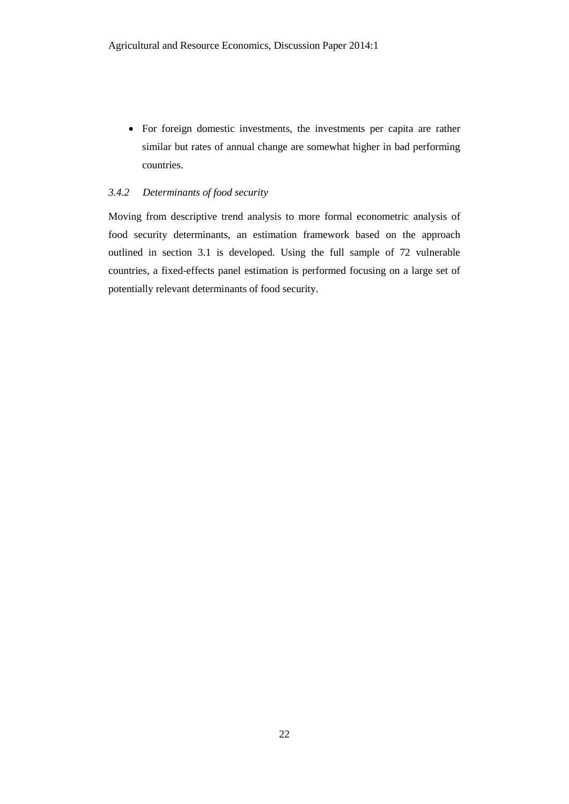For foreign domestic investments, the investments per capita are rather similar but rates of annual change are somewhat higher in bad performing countries.

#### *3.4.2 Determinants of food security*

Moving from descriptive trend analysis to more formal econometric analysis of food security determinants, an estimation framework based on the approach outlined in section 3.1 is developed. Using the full sample of 72 vulnerable countries, a fixed-effects panel estimation is performed focusing on a large set of potentially relevant determinants of food security.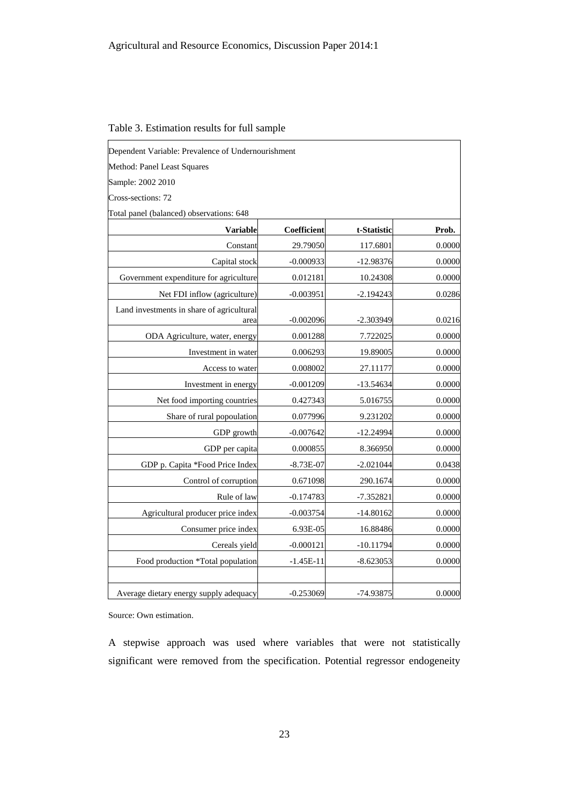| Dependent Variable: Prevalence of Undernourishment |             |             |        |
|----------------------------------------------------|-------------|-------------|--------|
| Method: Panel Least Squares                        |             |             |        |
| Sample: 2002 2010                                  |             |             |        |
| Cross-sections: 72                                 |             |             |        |
| Total panel (balanced) observations: 648           |             |             |        |
| Variable                                           | Coefficient | t-Statistic | Prob.  |
| Constant                                           | 29.79050    | 117.6801    | 0.0000 |
| Capital stock                                      | $-0.000933$ | $-12.98376$ | 0.0000 |
| Government expenditure for agriculture             | 0.012181    | 10.24308    | 0.0000 |
| Net FDI inflow (agriculture)                       | $-0.003951$ | $-2.194243$ | 0.0286 |
| Land investments in share of agricultural<br>area  | $-0.002096$ | $-2.303949$ | 0.0216 |
| ODA Agriculture, water, energy                     | 0.001288    | 7.722025    | 0.0000 |
| Investment in water                                | 0.006293    | 19.89005    | 0.0000 |
| Access to water                                    | 0.008002    | 27.11177    | 0.0000 |
| Investment in energy                               | $-0.001209$ | $-13.54634$ | 0.0000 |
| Net food importing countries                       | 0.427343    | 5.016755    | 0.0000 |
| Share of rural popoulation                         | 0.077996    | 9.231202    | 0.0000 |
| GDP growth                                         | $-0.007642$ | $-12.24994$ | 0.0000 |
| GDP per capita                                     | 0.000855    | 8.366950    | 0.0000 |
| GDP p. Capita *Food Price Index                    | $-8.73E-07$ | $-2.021044$ | 0.0438 |
| Control of corruption                              | 0.671098    | 290.1674    | 0.0000 |
| Rule of law                                        | $-0.174783$ | $-7.352821$ | 0.0000 |
| Agricultural producer price index                  | $-0.003754$ | $-14.80162$ | 0.0000 |
| Consumer price index                               | 6.93E-05    | 16.88486    | 0.0000 |
| Cereals yield                                      | $-0.000121$ | $-10.11794$ | 0.0000 |
| Food production *Total population                  | $-1.45E-11$ | $-8.623053$ | 0.0000 |
| Average dietary energy supply adequacy             | $-0.253069$ | -74.93875   | 0.0000 |

Table 3. Estimation results for full sample

Source: Own estimation.

A stepwise approach was used where variables that were not statistically significant were removed from the specification. Potential regressor endogeneity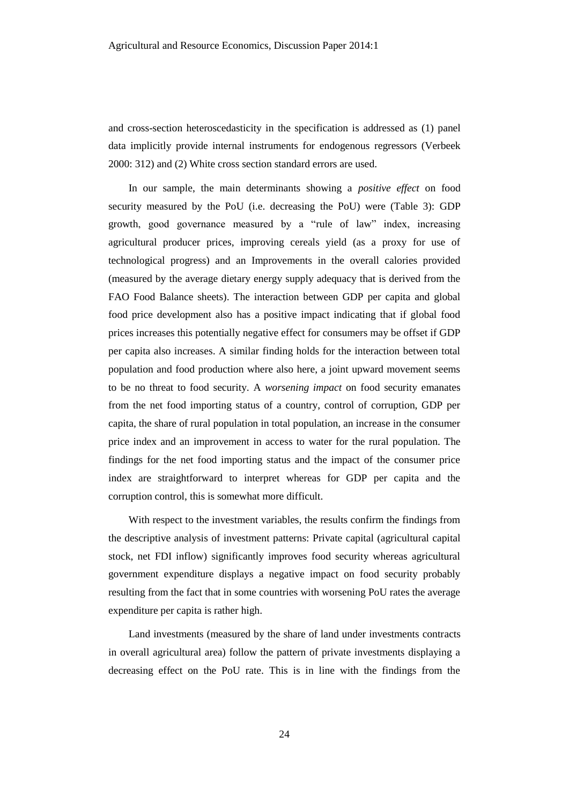and cross-section heteroscedasticity in the specification is addressed as (1) panel data implicitly provide internal instruments for endogenous regressors (Verbeek 2000: 312) and (2) White cross section standard errors are used.

In our sample, the main determinants showing a *positive effect* on food security measured by the PoU (i.e. decreasing the PoU) were (Table 3): GDP growth, good governance measured by a "rule of law" index, increasing agricultural producer prices, improving cereals yield (as a proxy for use of technological progress) and an Improvements in the overall calories provided (measured by the average dietary energy supply adequacy that is derived from the FAO Food Balance sheets). The interaction between GDP per capita and global food price development also has a positive impact indicating that if global food prices increases this potentially negative effect for consumers may be offset if GDP per capita also increases. A similar finding holds for the interaction between total population and food production where also here, a joint upward movement seems to be no threat to food security. A *worsening impact* on food security emanates from the net food importing status of a country, control of corruption, GDP per capita, the share of rural population in total population, an increase in the consumer price index and an improvement in access to water for the rural population. The findings for the net food importing status and the impact of the consumer price index are straightforward to interpret whereas for GDP per capita and the corruption control, this is somewhat more difficult.

With respect to the investment variables, the results confirm the findings from the descriptive analysis of investment patterns: Private capital (agricultural capital stock, net FDI inflow) significantly improves food security whereas agricultural government expenditure displays a negative impact on food security probably resulting from the fact that in some countries with worsening PoU rates the average expenditure per capita is rather high.

Land investments (measured by the share of land under investments contracts in overall agricultural area) follow the pattern of private investments displaying a decreasing effect on the PoU rate. This is in line with the findings from the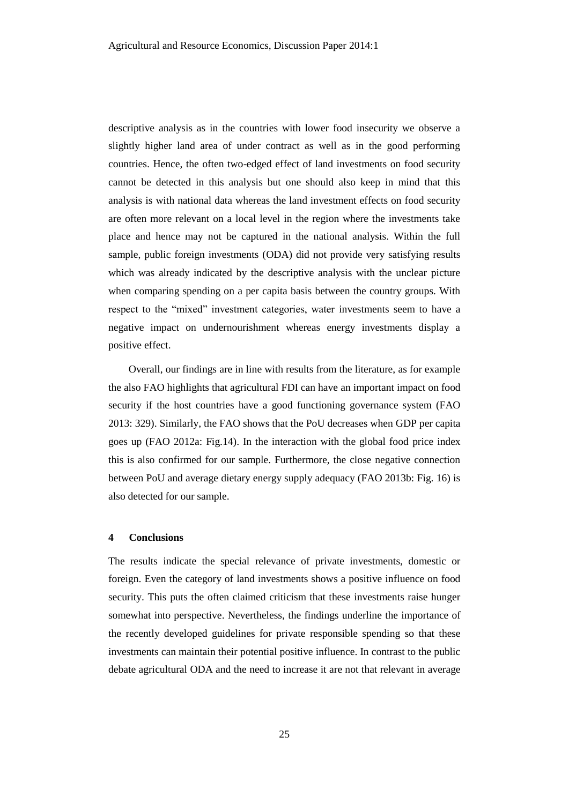descriptive analysis as in the countries with lower food insecurity we observe a slightly higher land area of under contract as well as in the good performing countries. Hence, the often two-edged effect of land investments on food security cannot be detected in this analysis but one should also keep in mind that this analysis is with national data whereas the land investment effects on food security are often more relevant on a local level in the region where the investments take place and hence may not be captured in the national analysis. Within the full sample, public foreign investments (ODA) did not provide very satisfying results which was already indicated by the descriptive analysis with the unclear picture when comparing spending on a per capita basis between the country groups. With respect to the "mixed" investment categories, water investments seem to have a negative impact on undernourishment whereas energy investments display a positive effect.

Overall, our findings are in line with results from the literature, as for example the also FAO highlights that agricultural FDI can have an important impact on food security if the host countries have a good functioning governance system (FAO 2013: 329). Similarly, the FAO shows that the PoU decreases when GDP per capita goes up (FAO 2012a: Fig.14). In the interaction with the global food price index this is also confirmed for our sample. Furthermore, the close negative connection between PoU and average dietary energy supply adequacy (FAO 2013b: Fig. 16) is also detected for our sample.

#### **4 Conclusions**

The results indicate the special relevance of private investments, domestic or foreign. Even the category of land investments shows a positive influence on food security. This puts the often claimed criticism that these investments raise hunger somewhat into perspective. Nevertheless, the findings underline the importance of the recently developed guidelines for private responsible spending so that these investments can maintain their potential positive influence. In contrast to the public debate agricultural ODA and the need to increase it are not that relevant in average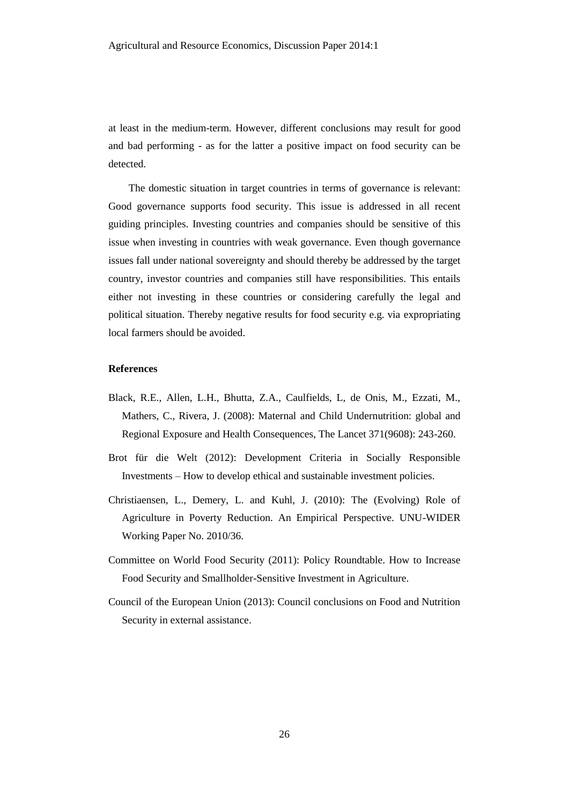at least in the medium-term. However, different conclusions may result for good and bad performing - as for the latter a positive impact on food security can be detected.

The domestic situation in target countries in terms of governance is relevant: Good governance supports food security. This issue is addressed in all recent guiding principles. Investing countries and companies should be sensitive of this issue when investing in countries with weak governance. Even though governance issues fall under national sovereignty and should thereby be addressed by the target country, investor countries and companies still have responsibilities. This entails either not investing in these countries or considering carefully the legal and political situation. Thereby negative results for food security e.g. via expropriating local farmers should be avoided.

#### **References**

- Black, R.E., Allen, L.H., Bhutta, Z.A., Caulfields, L, de Onis, M., Ezzati, M., Mathers, C., Rivera, J. (2008): Maternal and Child Undernutrition: global and Regional Exposure and Health Consequences, The Lancet 371(9608): 243-260.
- Brot für die Welt (2012): Development Criteria in Socially Responsible Investments – How to develop ethical and sustainable investment policies.
- Christiaensen, L., Demery, L. and Kuhl, J. (2010): The (Evolving) Role of Agriculture in Poverty Reduction. An Empirical Perspective. UNU-WIDER Working Paper No. 2010/36.
- Committee on World Food Security (2011): Policy Roundtable. How to Increase Food Security and Smallholder-Sensitive Investment in Agriculture.
- Council of the European Union (2013): Council conclusions on Food and Nutrition Security in external assistance.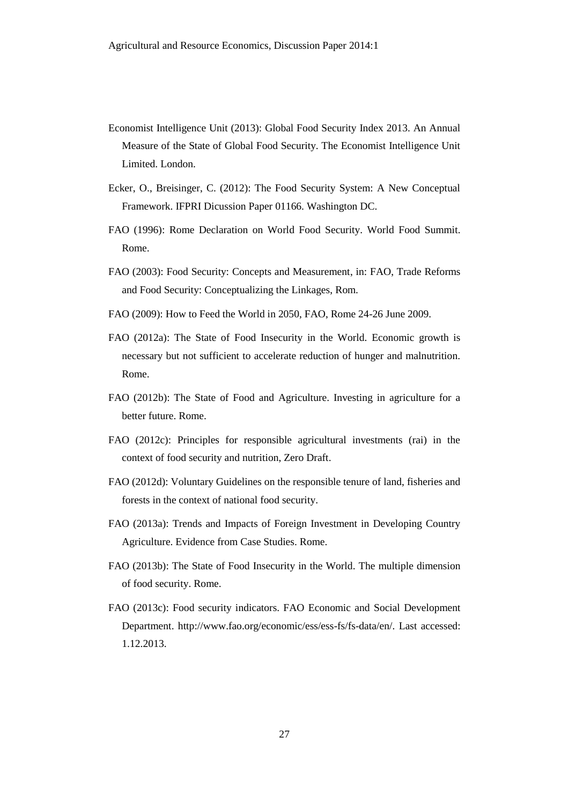- Economist Intelligence Unit (2013): Global Food Security Index 2013. An Annual Measure of the State of Global Food Security. The Economist Intelligence Unit Limited. London.
- Ecker, O., Breisinger, C. (2012): The Food Security System: A New Conceptual Framework. IFPRI Dicussion Paper 01166. Washington DC.
- FAO (1996): Rome Declaration on World Food Security. World Food Summit. Rome.
- FAO (2003): Food Security: Concepts and Measurement, in: FAO, Trade Reforms and Food Security: Conceptualizing the Linkages, Rom.
- FAO (2009): How to Feed the World in 2050, FAO, Rome 24-26 June 2009.
- FAO (2012a): The State of Food Insecurity in the World. Economic growth is necessary but not sufficient to accelerate reduction of hunger and malnutrition. Rome.
- FAO (2012b): The State of Food and Agriculture. Investing in agriculture for a better future. Rome.
- FAO (2012c): Principles for responsible agricultural investments (rai) in the context of food security and nutrition, Zero Draft.
- FAO (2012d): Voluntary Guidelines on the responsible tenure of land, fisheries and forests in the context of national food security.
- FAO (2013a): Trends and Impacts of Foreign Investment in Developing Country Agriculture. Evidence from Case Studies. Rome.
- FAO (2013b): The State of Food Insecurity in the World. The multiple dimension of food security. Rome.
- FAO (2013c): Food security indicators. FAO Economic and Social Development Department. http://www.fao.org/economic/ess/ess-fs/fs-data/en/. Last accessed: 1.12.2013.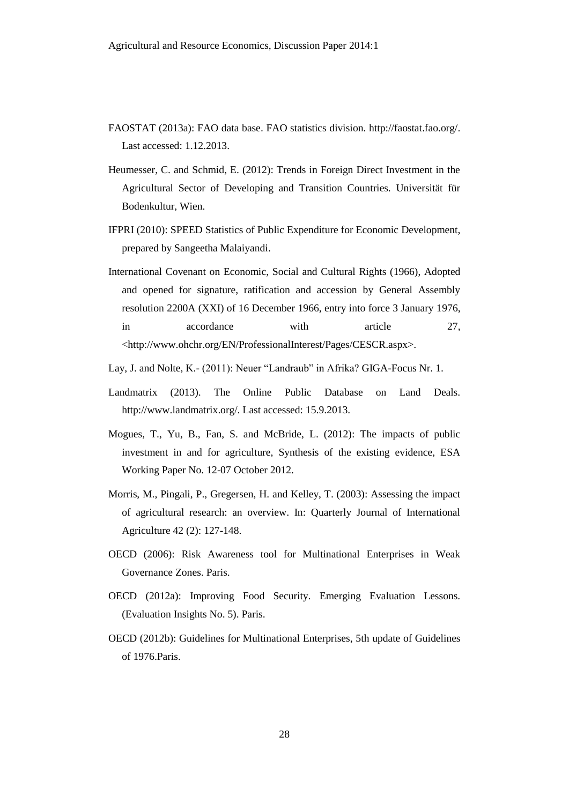- FAOSTAT (2013a): FAO data base. FAO statistics division. http://faostat.fao.org/. Last accessed: 1.12.2013.
- Heumesser, C. and Schmid, E. (2012): Trends in Foreign Direct Investment in the Agricultural Sector of Developing and Transition Countries. Universität für Bodenkultur, Wien.
- IFPRI (2010): SPEED Statistics of Public Expenditure for Economic Development, prepared by Sangeetha Malaiyandi.
- International Covenant on Economic, Social and Cultural Rights (1966), Adopted and opened for signature, ratification and accession by General Assembly resolution 2200A (XXI) of 16 December 1966, entry into force 3 January 1976, in accordance with article 27, <http://www.ohchr.org/EN/ProfessionalInterest/Pages/CESCR.aspx>.
- Lay, J. and Nolte, K.- (2011): Neuer "Landraub" in Afrika? GIGA-Focus Nr. 1.
- Landmatrix (2013). The Online Public Database on Land Deals. http://www.landmatrix.org/. Last accessed: 15.9.2013.
- Mogues, T., Yu, B., Fan, S. and McBride, L. (2012): The impacts of public investment in and for agriculture, Synthesis of the existing evidence, ESA Working Paper No. 12-07 October 2012.
- Morris, M., Pingali, P., Gregersen, H. and Kelley, T. (2003): Assessing the impact of agricultural research: an overview. In: Quarterly Journal of International Agriculture 42 (2): 127-148.
- OECD (2006): Risk Awareness tool for Multinational Enterprises in Weak Governance Zones. Paris.
- OECD (2012a): Improving Food Security. Emerging Evaluation Lessons. (Evaluation Insights No. 5). Paris.
- OECD (2012b): Guidelines for Multinational Enterprises, 5th update of Guidelines of 1976.Paris.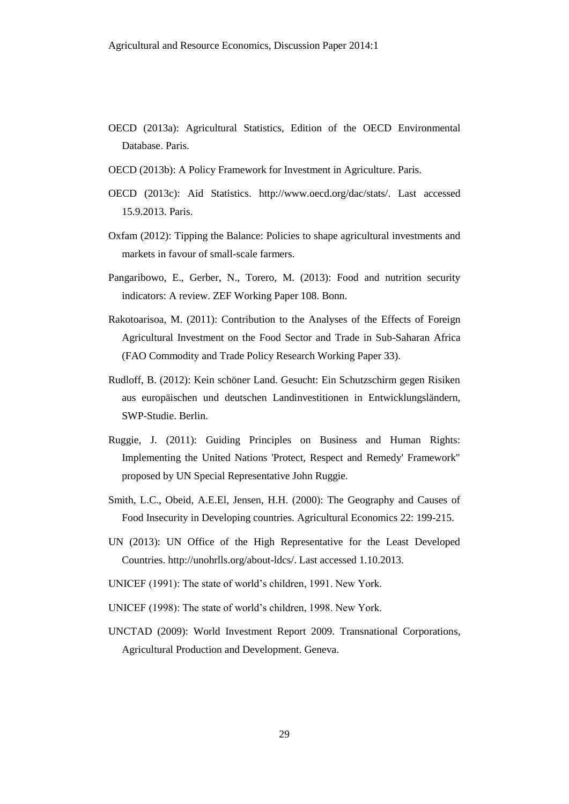- OECD (2013a): Agricultural Statistics, Edition of the OECD Environmental Database. Paris.
- OECD (2013b): A Policy Framework for Investment in Agriculture. Paris.
- OECD (2013c): Aid Statistics. http://www.oecd.org/dac/stats/. Last accessed 15.9.2013. Paris.
- Oxfam (2012): Tipping the Balance: Policies to shape agricultural investments and markets in favour of small-scale farmers.
- Pangaribowo, E., Gerber, N., Torero, M. (2013): Food and nutrition security indicators: A review. ZEF Working Paper 108. Bonn.
- Rakotoarisoa, M. (2011): Contribution to the Analyses of the Effects of Foreign Agricultural Investment on the Food Sector and Trade in Sub-Saharan Africa (FAO Commodity and Trade Policy Research Working Paper 33).
- Rudloff, B. (2012): Kein schöner Land. Gesucht: Ein Schutzschirm gegen Risiken aus europäischen und deutschen Landinvestitionen in Entwicklungsländern, SWP-Studie. Berlin.
- Ruggie, J. (2011): Guiding Principles on Business and Human Rights: Implementing the United Nations 'Protect, Respect and Remedy' Framework" proposed by UN Special Representative John Ruggie.
- Smith, L.C., Obeid, A.E.El, Jensen, H.H. (2000): The Geography and Causes of Food Insecurity in Developing countries. Agricultural Economics 22: 199-215.
- UN (2013): UN Office of the High Representative for the Least Developed Countries. http://unohrlls.org/about-ldcs/. Last accessed 1.10.2013.
- UNICEF (1991): The state of world's children, 1991. New York.
- UNICEF (1998): The state of world's children, 1998. New York.
- UNCTAD (2009): World Investment Report 2009. Transnational Corporations, Agricultural Production and Development. Geneva.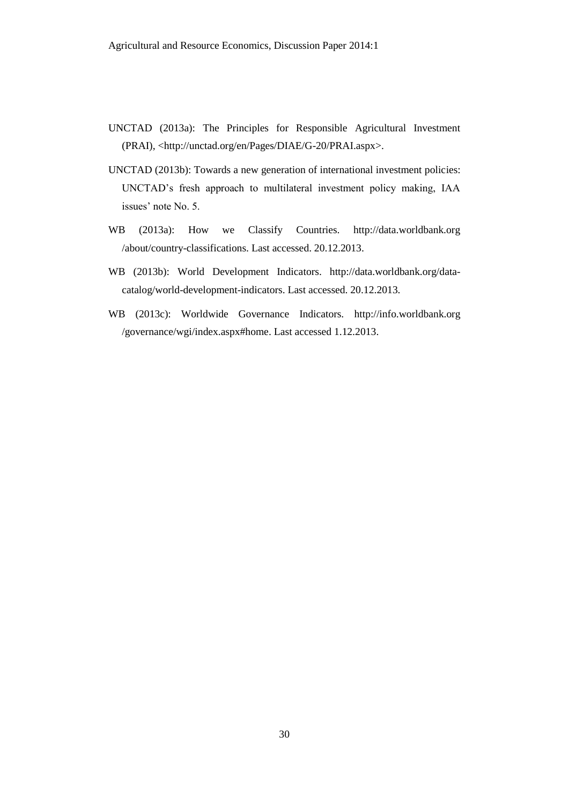- UNCTAD (2013a): The Principles for Responsible Agricultural Investment (PRAI), <http://unctad.org/en/Pages/DIAE/G-20/PRAI.aspx>.
- UNCTAD (2013b): Towards a new generation of international investment policies: UNCTAD's fresh approach to multilateral investment policy making, IAA issues' note No. 5.
- WB (2013a): How we Classify Countries. http://data.worldbank.org /about/country-classifications. Last accessed. 20.12.2013.
- WB (2013b): World Development Indicators. http://data.worldbank.org/datacatalog/world-development-indicators. Last accessed. 20.12.2013.
- WB (2013c): Worldwide Governance Indicators. http://info.worldbank.org /governance/wgi/index.aspx#home. Last accessed 1.12.2013.